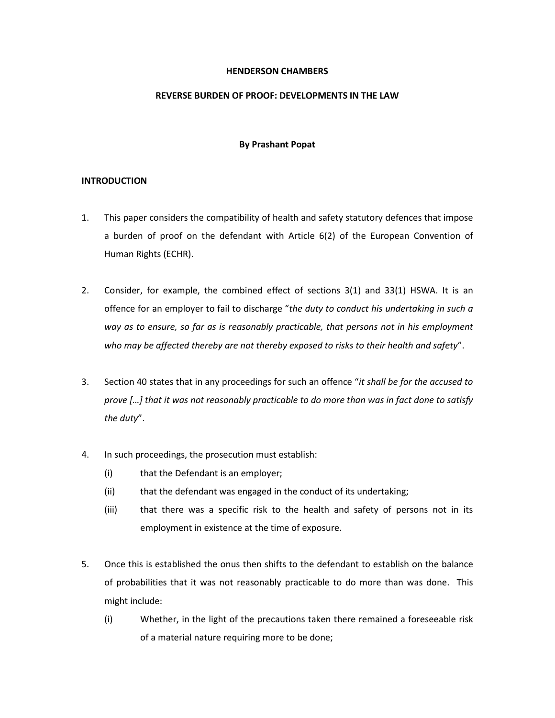### **HENDERSON CHAMBERS**

# **REVERSE BURDEN OF PROOF: DEVELOPMENTS IN THE LAW**

# **By Prashant Popat**

### **INTRODUCTION**

- 1. This paper considers the compatibility of health and safety statutory defences that impose a burden of proof on the defendant with Article 6(2) of the European Convention of Human Rights (ECHR).
- 2. Consider, for example, the combined effect of sections 3(1) and 33(1) HSWA. It is an offence for an employer to fail to discharge "*the duty to conduct his undertaking in such a way as to ensure, so far as is reasonably practicable, that persons not in his employment who may be affected thereby are not thereby exposed to risks to their health and safety*".
- 3. Section 40 states that in any proceedings for such an offence "*it shall be for the accused to prove […] that it was not reasonably practicable to do more than was in fact done to satisfy the duty*".
- 4. In such proceedings, the prosecution must establish:
	- (i) that the Defendant is an employer;
	- (ii) that the defendant was engaged in the conduct of its undertaking;
	- (iii) that there was a specific risk to the health and safety of persons not in its employment in existence at the time of exposure.
- 5. Once this is established the onus then shifts to the defendant to establish on the balance of probabilities that it was not reasonably practicable to do more than was done. This might include:
	- (i) Whether, in the light of the precautions taken there remained a foreseeable risk of a material nature requiring more to be done;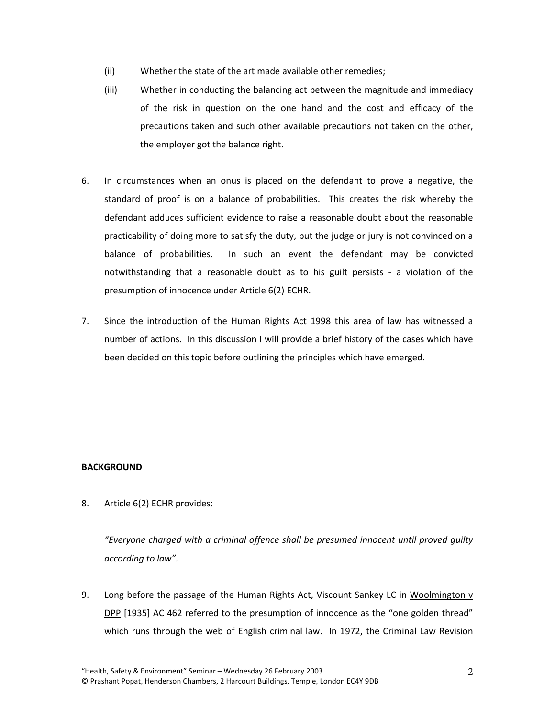- (ii) Whether the state of the art made available other remedies;
- (iii) Whether in conducting the balancing act between the magnitude and immediacy of the risk in question on the one hand and the cost and efficacy of the precautions taken and such other available precautions not taken on the other, the employer got the balance right.
- 6. In circumstances when an onus is placed on the defendant to prove a negative, the standard of proof is on a balance of probabilities. This creates the risk whereby the defendant adduces sufficient evidence to raise a reasonable doubt about the reasonable practicability of doing more to satisfy the duty, but the judge or jury is not convinced on a balance of probabilities. In such an event the defendant may be convicted notwithstanding that a reasonable doubt as to his guilt persists - a violation of the presumption of innocence under Article 6(2) ECHR.
- 7. Since the introduction of the Human Rights Act 1998 this area of law has witnessed a number of actions. In this discussion I will provide a brief history of the cases which have been decided on this topic before outlining the principles which have emerged.

# **BACKGROUND**

8. Article 6(2) ECHR provides:

*"Everyone charged with a criminal offence shall be presumed innocent until proved guilty according to law".*

9. Long before the passage of the Human Rights Act, Viscount Sankey LC in Woolmington v DPP [1935] AC 462 referred to the presumption of innocence as the "one golden thread" which runs through the web of English criminal law. In 1972, the Criminal Law Revision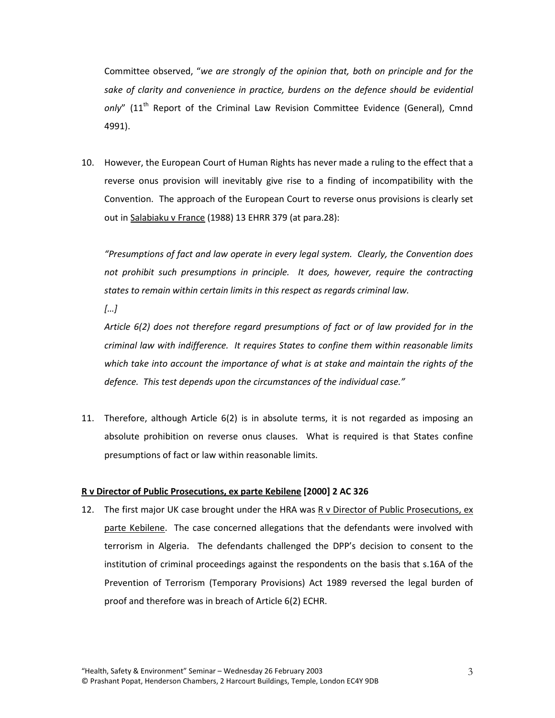Committee observed, "*we are strongly of the opinion that, both on principle and for the sake of clarity and convenience in practice, burdens on the defence should be evidential*  only" (11<sup>th</sup> Report of the Criminal Law Revision Committee Evidence (General), Cmnd 4991).

10. However, the European Court of Human Rights has never made a ruling to the effect that a reverse onus provision will inevitably give rise to a finding of incompatibility with the Convention. The approach of the European Court to reverse onus provisions is clearly set out in Salabiaku v France (1988) 13 EHRR 379 (at para.28):

*"Presumptions of fact and law operate in every legal system. Clearly, the Convention does not prohibit such presumptions in principle. It does, however, require the contracting states to remain within certain limits in this respect as regards criminal law.*

*[…]*

*Article 6(2) does not therefore regard presumptions of fact or of law provided for in the criminal law with indifference. It requires States to confine them within reasonable limits which take into account the importance of what is at stake and maintain the rights of the defence. This test depends upon the circumstances of the individual case."*

11. Therefore, although Article 6(2) is in absolute terms, it is not regarded as imposing an absolute prohibition on reverse onus clauses. What is required is that States confine presumptions of fact or law within reasonable limits.

# **R v Director of Public Prosecutions, ex parte Kebilene [2000] 2 AC 326**

12. The first major UK case brought under the HRA was R v Director of Public Prosecutions, ex parte Kebilene. The case concerned allegations that the defendants were involved with terrorism in Algeria. The defendants challenged the DPP's decision to consent to the institution of criminal proceedings against the respondents on the basis that s.16A of the Prevention of Terrorism (Temporary Provisions) Act 1989 reversed the legal burden of proof and therefore was in breach of Article 6(2) ECHR.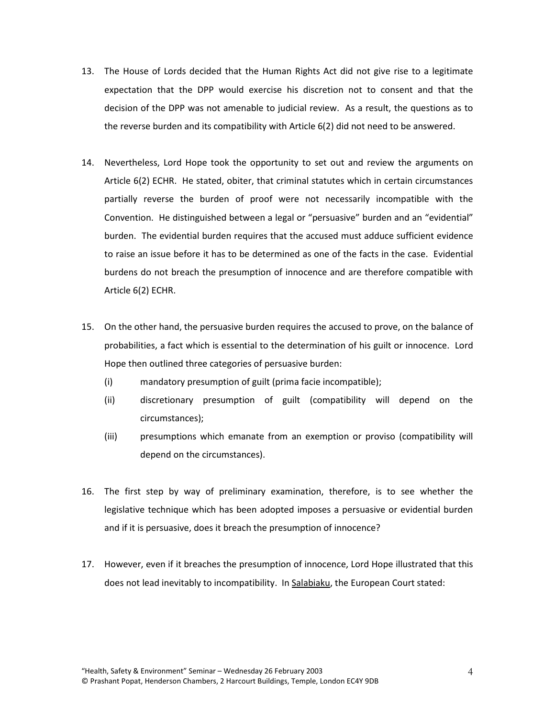- 13. The House of Lords decided that the Human Rights Act did not give rise to a legitimate expectation that the DPP would exercise his discretion not to consent and that the decision of the DPP was not amenable to judicial review. As a result, the questions as to the reverse burden and its compatibility with Article 6(2) did not need to be answered.
- 14. Nevertheless, Lord Hope took the opportunity to set out and review the arguments on Article 6(2) ECHR. He stated, obiter, that criminal statutes which in certain circumstances partially reverse the burden of proof were not necessarily incompatible with the Convention. He distinguished between a legal or "persuasive" burden and an "evidential" burden. The evidential burden requires that the accused must adduce sufficient evidence to raise an issue before it has to be determined as one of the facts in the case. Evidential burdens do not breach the presumption of innocence and are therefore compatible with Article 6(2) ECHR.
- 15. On the other hand, the persuasive burden requires the accused to prove, on the balance of probabilities, a fact which is essential to the determination of his guilt or innocence. Lord Hope then outlined three categories of persuasive burden:
	- (i) mandatory presumption of guilt (prima facie incompatible);
	- (ii) discretionary presumption of guilt (compatibility will depend on the circumstances);
	- (iii) presumptions which emanate from an exemption or proviso (compatibility will depend on the circumstances).
- 16. The first step by way of preliminary examination, therefore, is to see whether the legislative technique which has been adopted imposes a persuasive or evidential burden and if it is persuasive, does it breach the presumption of innocence?
- 17. However, even if it breaches the presumption of innocence, Lord Hope illustrated that this does not lead inevitably to incompatibility. In Salabiaku, the European Court stated: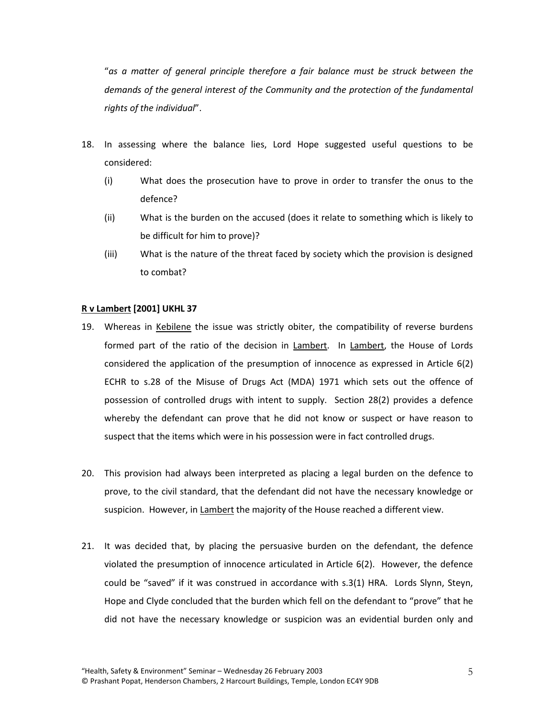"*as a matter of general principle therefore a fair balance must be struck between the demands of the general interest of the Community and the protection of the fundamental rights of the individual*".

- 18. In assessing where the balance lies, Lord Hope suggested useful questions to be considered:
	- (i) What does the prosecution have to prove in order to transfer the onus to the defence?
	- (ii) What is the burden on the accused (does it relate to something which is likely to be difficult for him to prove)?
	- (iii) What is the nature of the threat faced by society which the provision is designed to combat?

# **R v Lambert [2001] UKHL 37**

- 19. Whereas in Kebilene the issue was strictly obiter, the compatibility of reverse burdens formed part of the ratio of the decision in Lambert. In Lambert, the House of Lords considered the application of the presumption of innocence as expressed in Article 6(2) ECHR to s.28 of the Misuse of Drugs Act (MDA) 1971 which sets out the offence of possession of controlled drugs with intent to supply. Section 28(2) provides a defence whereby the defendant can prove that he did not know or suspect or have reason to suspect that the items which were in his possession were in fact controlled drugs.
- 20. This provision had always been interpreted as placing a legal burden on the defence to prove, to the civil standard, that the defendant did not have the necessary knowledge or suspicion. However, in Lambert the majority of the House reached a different view.
- 21. It was decided that, by placing the persuasive burden on the defendant, the defence violated the presumption of innocence articulated in Article 6(2). However, the defence could be "saved" if it was construed in accordance with s.3(1) HRA. Lords Slynn, Steyn, Hope and Clyde concluded that the burden which fell on the defendant to "prove" that he did not have the necessary knowledge or suspicion was an evidential burden only and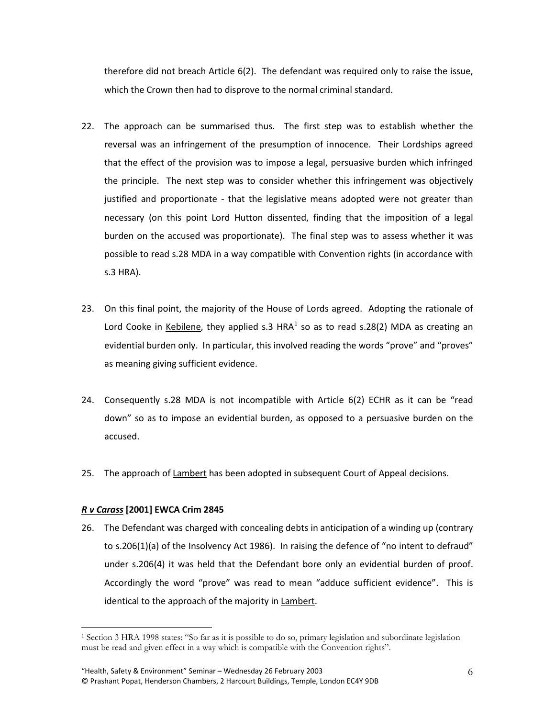therefore did not breach Article 6(2). The defendant was required only to raise the issue, which the Crown then had to disprove to the normal criminal standard.

- 22. The approach can be summarised thus. The first step was to establish whether the reversal was an infringement of the presumption of innocence. Their Lordships agreed that the effect of the provision was to impose a legal, persuasive burden which infringed the principle. The next step was to consider whether this infringement was objectively justified and proportionate - that the legislative means adopted were not greater than necessary (on this point Lord Hutton dissented, finding that the imposition of a legal burden on the accused was proportionate). The final step was to assess whether it was possible to read s.28 MDA in a way compatible with Convention rights (in accordance with s.3 HRA).
- 23. On this final point, the majority of the House of Lords agreed. Adopting the rationale of Lord Cooke in Kebilene, they applied s.3  $HRA<sup>1</sup>$  $HRA<sup>1</sup>$  $HRA<sup>1</sup>$  so as to read s.28(2) MDA as creating an evidential burden only. In particular, this involved reading the words "prove" and "proves" as meaning giving sufficient evidence.
- 24. Consequently s.28 MDA is not incompatible with Article 6(2) ECHR as it can be "read down" so as to impose an evidential burden, as opposed to a persuasive burden on the accused.
- 25. The approach of Lambert has been adopted in subsequent Court of Appeal decisions.

# *R v Carass* **[2001] EWCA Crim 2845**

<span id="page-5-0"></span> $\overline{a}$ 

26. The Defendant was charged with concealing debts in anticipation of a winding up (contrary to s.206(1)(a) of the Insolvency Act 1986). In raising the defence of "no intent to defraud" under s.206(4) it was held that the Defendant bore only an evidential burden of proof. Accordingly the word "prove" was read to mean "adduce sufficient evidence". This is identical to the approach of the majority in Lambert.

<sup>1</sup> Section 3 HRA 1998 states: "So far as it is possible to do so, primary legislation and subordinate legislation must be read and given effect in a way which is compatible with the Convention rights".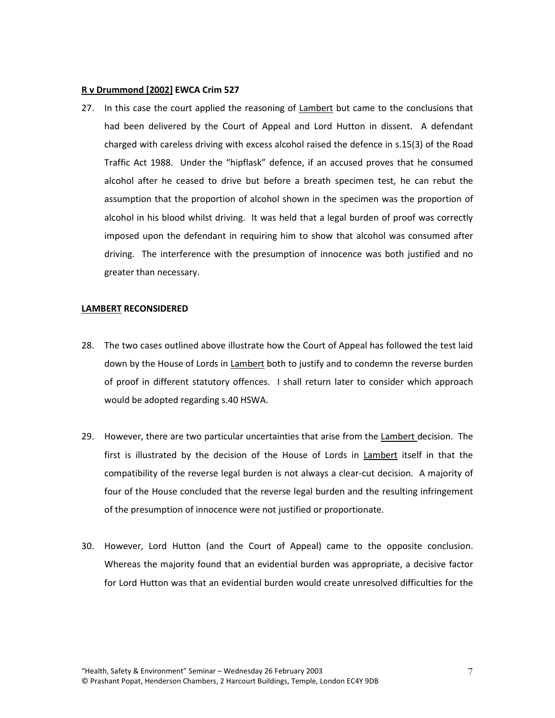#### **R v Drummond [2002] EWCA Crim 527**

27. In this case the court applied the reasoning of Lambert but came to the conclusions that had been delivered by the Court of Appeal and Lord Hutton in dissent. A defendant charged with careless driving with excess alcohol raised the defence in s.15(3) of the Road Traffic Act 1988. Under the "hipflask" defence, if an accused proves that he consumed alcohol after he ceased to drive but before a breath specimen test, he can rebut the assumption that the proportion of alcohol shown in the specimen was the proportion of alcohol in his blood whilst driving. It was held that a legal burden of proof was correctly imposed upon the defendant in requiring him to show that alcohol was consumed after driving. The interference with the presumption of innocence was both justified and no greater than necessary.

#### **LAMBERT RECONSIDERED**

- 28. The two cases outlined above illustrate how the Court of Appeal has followed the test laid down by the House of Lords in Lambert both to justify and to condemn the reverse burden of proof in different statutory offences. I shall return later to consider which approach would be adopted regarding s.40 HSWA.
- 29. However, there are two particular uncertainties that arise from the Lambert decision. The first is illustrated by the decision of the House of Lords in Lambert itself in that the compatibility of the reverse legal burden is not always a clear-cut decision. A majority of four of the House concluded that the reverse legal burden and the resulting infringement of the presumption of innocence were not justified or proportionate.
- 30. However, Lord Hutton (and the Court of Appeal) came to the opposite conclusion. Whereas the majority found that an evidential burden was appropriate, a decisive factor for Lord Hutton was that an evidential burden would create unresolved difficulties for the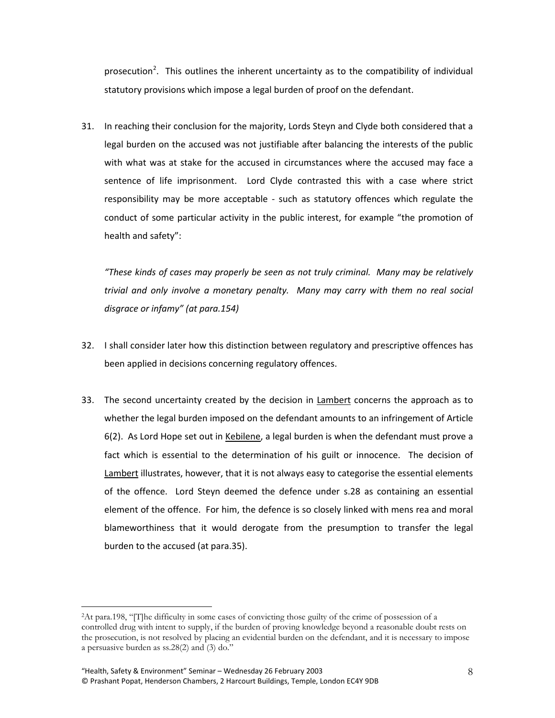prosecution<sup>[2](#page-5-0)</sup>. This outlines the inherent uncertainty as to the compatibility of individual statutory provisions which impose a legal burden of proof on the defendant.

31. In reaching their conclusion for the majority, Lords Steyn and Clyde both considered that a legal burden on the accused was not justifiable after balancing the interests of the public with what was at stake for the accused in circumstances where the accused may face a sentence of life imprisonment. Lord Clyde contrasted this with a case where strict responsibility may be more acceptable - such as statutory offences which regulate the conduct of some particular activity in the public interest, for example "the promotion of health and safety":

*"These kinds of cases may properly be seen as not truly criminal. Many may be relatively trivial and only involve a monetary penalty. Many may carry with them no real social disgrace or infamy" (at para.154)*

- 32. I shall consider later how this distinction between regulatory and prescriptive offences has been applied in decisions concerning regulatory offences.
- 33. The second uncertainty created by the decision in Lambert concerns the approach as to whether the legal burden imposed on the defendant amounts to an infringement of Article 6(2). As Lord Hope set out in Kebilene, a legal burden is when the defendant must prove a fact which is essential to the determination of his guilt or innocence. The decision of Lambert illustrates, however, that it is not always easy to categorise the essential elements of the offence. Lord Steyn deemed the defence under s.28 as containing an essential element of the offence. For him, the defence is so closely linked with mens rea and moral blameworthiness that it would derogate from the presumption to transfer the legal burden to the accused (at para.35).

 $\overline{a}$ 

<sup>2</sup>At para.198, "[T]he difficulty in some cases of convicting those guilty of the crime of possession of a controlled drug with intent to supply, if the burden of proving knowledge beyond a reasonable doubt rests on the prosecution, is not resolved by placing an evidential burden on the defendant, and it is necessary to impose a persuasive burden as ss.28(2) and (3) do."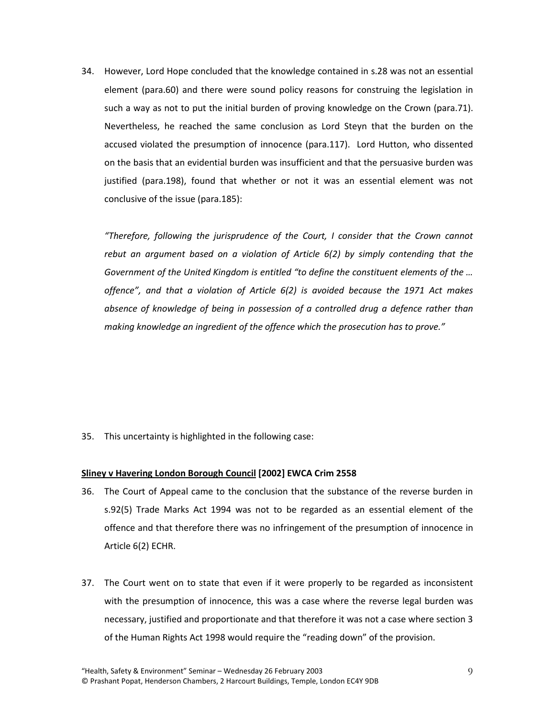34. However, Lord Hope concluded that the knowledge contained in s.28 was not an essential element (para.60) and there were sound policy reasons for construing the legislation in such a way as not to put the initial burden of proving knowledge on the Crown (para.71). Nevertheless, he reached the same conclusion as Lord Steyn that the burden on the accused violated the presumption of innocence (para.117). Lord Hutton, who dissented on the basis that an evidential burden was insufficient and that the persuasive burden was justified (para.198), found that whether or not it was an essential element was not conclusive of the issue (para.185):

*"Therefore, following the jurisprudence of the Court, I consider that the Crown cannot rebut an argument based on a violation of Article 6(2) by simply contending that the Government of the United Kingdom is entitled "to define the constituent elements of the … offence", and that a violation of Article 6(2) is avoided because the 1971 Act makes absence of knowledge of being in possession of a controlled drug a defence rather than making knowledge an ingredient of the offence which the prosecution has to prove."*

35. This uncertainty is highlighted in the following case:

# **Sliney v Havering London Borough Council [2002] EWCA Crim 2558**

- 36. The Court of Appeal came to the conclusion that the substance of the reverse burden in s.92(5) Trade Marks Act 1994 was not to be regarded as an essential element of the offence and that therefore there was no infringement of the presumption of innocence in Article 6(2) ECHR.
- 37. The Court went on to state that even if it were properly to be regarded as inconsistent with the presumption of innocence, this was a case where the reverse legal burden was necessary, justified and proportionate and that therefore it was not a case where section 3 of the Human Rights Act 1998 would require the "reading down" of the provision.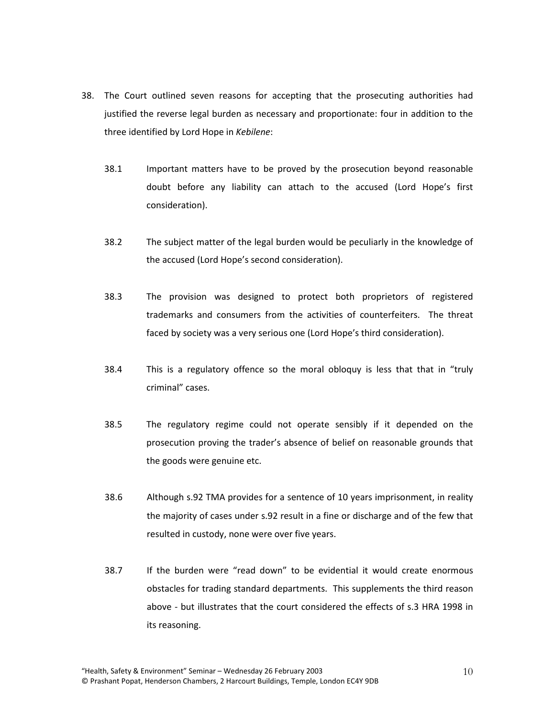- 38. The Court outlined seven reasons for accepting that the prosecuting authorities had justified the reverse legal burden as necessary and proportionate: four in addition to the three identified by Lord Hope in *Kebilene*:
	- 38.1 Important matters have to be proved by the prosecution beyond reasonable doubt before any liability can attach to the accused (Lord Hope's first consideration).
	- 38.2 The subject matter of the legal burden would be peculiarly in the knowledge of the accused (Lord Hope's second consideration).
	- 38.3 The provision was designed to protect both proprietors of registered trademarks and consumers from the activities of counterfeiters. The threat faced by society was a very serious one (Lord Hope's third consideration).
	- 38.4 This is a regulatory offence so the moral obloquy is less that that in "truly criminal" cases.
	- 38.5 The regulatory regime could not operate sensibly if it depended on the prosecution proving the trader's absence of belief on reasonable grounds that the goods were genuine etc.
	- 38.6 Although s.92 TMA provides for a sentence of 10 years imprisonment, in reality the majority of cases under s.92 result in a fine or discharge and of the few that resulted in custody, none were over five years.
	- 38.7 If the burden were "read down" to be evidential it would create enormous obstacles for trading standard departments. This supplements the third reason above - but illustrates that the court considered the effects of s.3 HRA 1998 in its reasoning.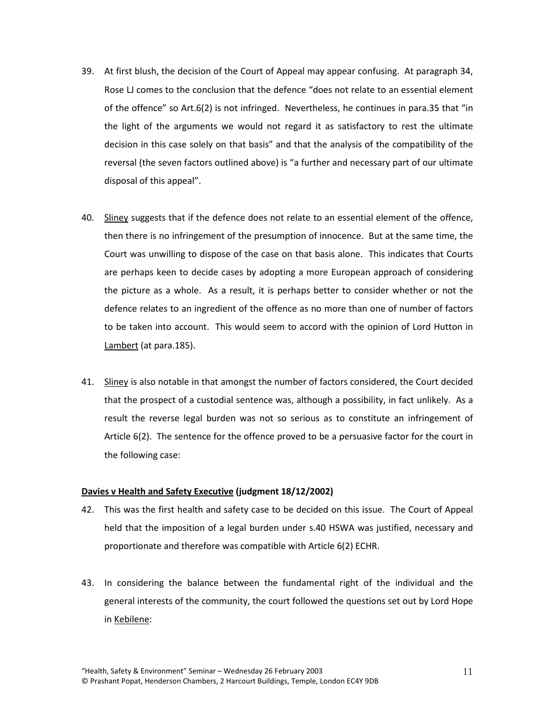- 39. At first blush, the decision of the Court of Appeal may appear confusing. At paragraph 34, Rose LJ comes to the conclusion that the defence "does not relate to an essential element of the offence" so Art.6(2) is not infringed. Nevertheless, he continues in para.35 that "in the light of the arguments we would not regard it as satisfactory to rest the ultimate decision in this case solely on that basis" and that the analysis of the compatibility of the reversal (the seven factors outlined above) is "a further and necessary part of our ultimate disposal of this appeal".
- 40. Sliney suggests that if the defence does not relate to an essential element of the offence, then there is no infringement of the presumption of innocence. But at the same time, the Court was unwilling to dispose of the case on that basis alone. This indicates that Courts are perhaps keen to decide cases by adopting a more European approach of considering the picture as a whole. As a result, it is perhaps better to consider whether or not the defence relates to an ingredient of the offence as no more than one of number of factors to be taken into account. This would seem to accord with the opinion of Lord Hutton in Lambert (at para.185).
- 41. Sliney is also notable in that amongst the number of factors considered, the Court decided that the prospect of a custodial sentence was, although a possibility, in fact unlikely. As a result the reverse legal burden was not so serious as to constitute an infringement of Article 6(2). The sentence for the offence proved to be a persuasive factor for the court in the following case:

# **Davies v Health and Safety Executive (judgment 18/12/2002)**

- 42. This was the first health and safety case to be decided on this issue. The Court of Appeal held that the imposition of a legal burden under s.40 HSWA was justified, necessary and proportionate and therefore was compatible with Article 6(2) ECHR.
- 43. In considering the balance between the fundamental right of the individual and the general interests of the community, the court followed the questions set out by Lord Hope in Kebilene: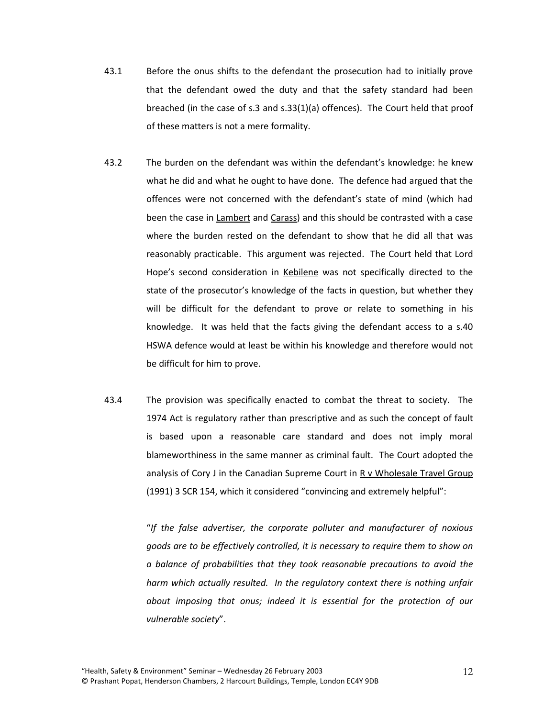- 43.1 Before the onus shifts to the defendant the prosecution had to initially prove that the defendant owed the duty and that the safety standard had been breached (in the case of s.3 and s.33(1)(a) offences). The Court held that proof of these matters is not a mere formality.
- 43.2 The burden on the defendant was within the defendant's knowledge: he knew what he did and what he ought to have done. The defence had argued that the offences were not concerned with the defendant's state of mind (which had been the case in Lambert and Carass) and this should be contrasted with a case where the burden rested on the defendant to show that he did all that was reasonably practicable. This argument was rejected. The Court held that Lord Hope's second consideration in Kebilene was not specifically directed to the state of the prosecutor's knowledge of the facts in question, but whether they will be difficult for the defendant to prove or relate to something in his knowledge. It was held that the facts giving the defendant access to a s.40 HSWA defence would at least be within his knowledge and therefore would not be difficult for him to prove.
- 43.4 The provision was specifically enacted to combat the threat to society. The 1974 Act is regulatory rather than prescriptive and as such the concept of fault is based upon a reasonable care standard and does not imply moral blameworthiness in the same manner as criminal fault. The Court adopted the analysis of Cory J in the Canadian Supreme Court in R v Wholesale Travel Group (1991) 3 SCR 154, which it considered "convincing and extremely helpful":

"*If the false advertiser, the corporate polluter and manufacturer of noxious goods are to be effectively controlled, it is necessary to require them to show on a balance of probabilities that they took reasonable precautions to avoid the harm which actually resulted. In the regulatory context there is nothing unfair about imposing that onus; indeed it is essential for the protection of our vulnerable society*".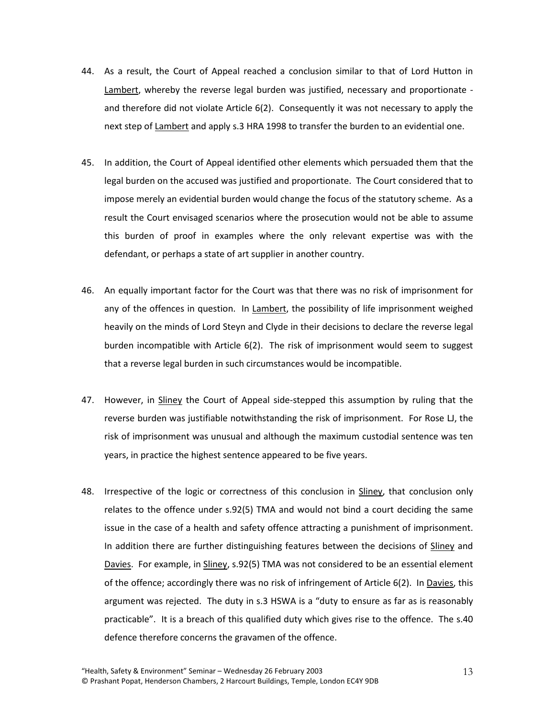- 44. As a result, the Court of Appeal reached a conclusion similar to that of Lord Hutton in Lambert, whereby the reverse legal burden was justified, necessary and proportionate and therefore did not violate Article 6(2). Consequently it was not necessary to apply the next step of Lambert and apply s.3 HRA 1998 to transfer the burden to an evidential one.
- 45. In addition, the Court of Appeal identified other elements which persuaded them that the legal burden on the accused was justified and proportionate. The Court considered that to impose merely an evidential burden would change the focus of the statutory scheme. As a result the Court envisaged scenarios where the prosecution would not be able to assume this burden of proof in examples where the only relevant expertise was with the defendant, or perhaps a state of art supplier in another country.
- 46. An equally important factor for the Court was that there was no risk of imprisonment for any of the offences in question. In Lambert, the possibility of life imprisonment weighed heavily on the minds of Lord Steyn and Clyde in their decisions to declare the reverse legal burden incompatible with Article 6(2). The risk of imprisonment would seem to suggest that a reverse legal burden in such circumstances would be incompatible.
- 47. However, in Sliney the Court of Appeal side-stepped this assumption by ruling that the reverse burden was justifiable notwithstanding the risk of imprisonment. For Rose LJ, the risk of imprisonment was unusual and although the maximum custodial sentence was ten years, in practice the highest sentence appeared to be five years.
- 48. Irrespective of the logic or correctness of this conclusion in Sliney, that conclusion only relates to the offence under s.92(5) TMA and would not bind a court deciding the same issue in the case of a health and safety offence attracting a punishment of imprisonment. In addition there are further distinguishing features between the decisions of Sliney and Davies. For example, in Sliney, s.92(5) TMA was not considered to be an essential element of the offence; accordingly there was no risk of infringement of Article 6(2). In Davies, this argument was rejected. The duty in s.3 HSWA is a "duty to ensure as far as is reasonably practicable". It is a breach of this qualified duty which gives rise to the offence. The s.40 defence therefore concerns the gravamen of the offence.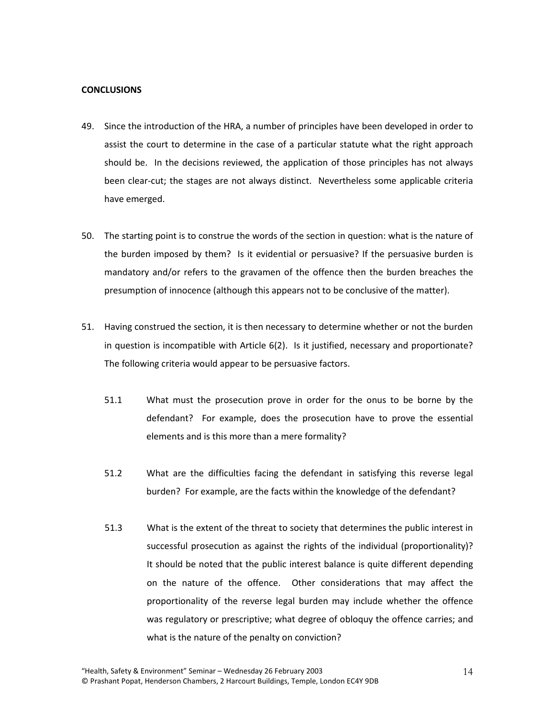### **CONCLUSIONS**

- 49. Since the introduction of the HRA, a number of principles have been developed in order to assist the court to determine in the case of a particular statute what the right approach should be. In the decisions reviewed, the application of those principles has not always been clear-cut; the stages are not always distinct. Nevertheless some applicable criteria have emerged.
- 50. The starting point is to construe the words of the section in question: what is the nature of the burden imposed by them? Is it evidential or persuasive? If the persuasive burden is mandatory and/or refers to the gravamen of the offence then the burden breaches the presumption of innocence (although this appears not to be conclusive of the matter).
- 51. Having construed the section, it is then necessary to determine whether or not the burden in question is incompatible with Article 6(2). Is it justified, necessary and proportionate? The following criteria would appear to be persuasive factors.
	- 51.1 What must the prosecution prove in order for the onus to be borne by the defendant? For example, does the prosecution have to prove the essential elements and is this more than a mere formality?
	- 51.2 What are the difficulties facing the defendant in satisfying this reverse legal burden? For example, are the facts within the knowledge of the defendant?
	- 51.3 What is the extent of the threat to society that determines the public interest in successful prosecution as against the rights of the individual (proportionality)? It should be noted that the public interest balance is quite different depending on the nature of the offence. Other considerations that may affect the proportionality of the reverse legal burden may include whether the offence was regulatory or prescriptive; what degree of obloquy the offence carries; and what is the nature of the penalty on conviction?